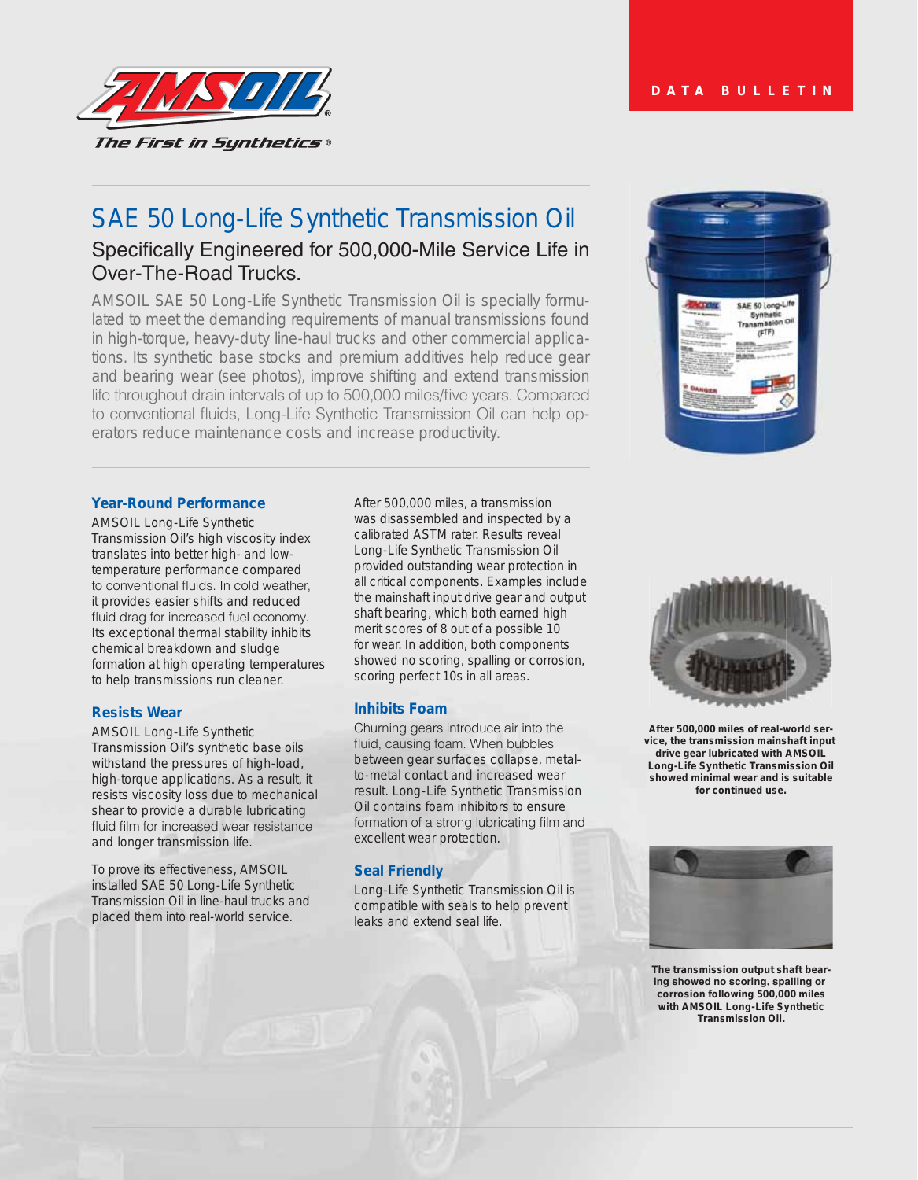

# SAE 50 Long-Life Synthetic Transmission Oil

## Specifically Engineered for 500,000-Mile Service Life in Over-The-Road Trucks.

AMSOIL SAE 50 Long-Life Synthetic Transmission Oil is specially formulated to meet the demanding requirements of manual transmissions found in high-torque, heavy-duty line-haul trucks and other commercial applications. Its synthetic base stocks and premium additives help reduce gear and bearing wear (see photos), improve shifting and extend transmission life throughout drain intervals of up to 500,000 miles/five years. Compared to conventional fluids, Long-Life Synthetic Transmission Oil can help operators reduce maintenance costs and increase productivity.



#### **Year-Round Performance**

AMSOIL Long-Life Synthetic Transmission Oil's high viscosity index translates into better high- and lowtemperature performance compared to conventional fluids. In cold weather, it provides easier shifts and reduced fluid drag for increased fuel economy. Its exceptional thermal stability inhibits chemical breakdown and sludge formation at high operating temperatures to help transmissions run cleaner.

#### **Resists Wear**

AMSOIL Long-Life Synthetic Transmission Oil's synthetic base oils withstand the pressures of high-load, high-torque applications. As a result, it resists viscosity loss due to mechanical shear to provide a durable lubricating fluid film for increased wear resistance and longer transmission life.

To prove its effectiveness, AMSOIL installed SAE 50 Long-Life Synthetic Transmission Oil in line-haul trucks and placed them into real-world service.

After 500,000 miles, a transmission was disassembled and inspected by a calibrated ASTM rater. Results reveal Long-Life Synthetic Transmission Oil provided outstanding wear protection in all critical components. Examples include the mainshaft input drive gear and output shaft bearing, which both earned high merit scores of 8 out of a possible 10 for wear. In addition, both components showed no scoring, spalling or corrosion, scoring perfect 10s in all areas.

#### **Inhibits Foam**

Churning gears introduce air into the fluid, causing foam. When bubbles between gear surfaces collapse, metalto-metal contact and increased wear result. Long-Life Synthetic Transmission Oil contains foam inhibitors to ensure formation of a strong lubricating film and excellent wear protection.

#### **Seal Friendly**

Long-Life Synthetic Transmission Oil is compatible with seals to help prevent leaks and extend seal life.



**After 500,000 miles of real-world service, the transmission mainshaft input drive gear lubricated with AMSOIL Long-Life Synthetic Transmission Oil showed minimal wear and is suitable for continued use.**



**The transmission output shaft bear**ing showed no scoring, spalling or **corrosion following 500,000 miles with AMSOIL Long-Life Synthetic Transmission Oil.**